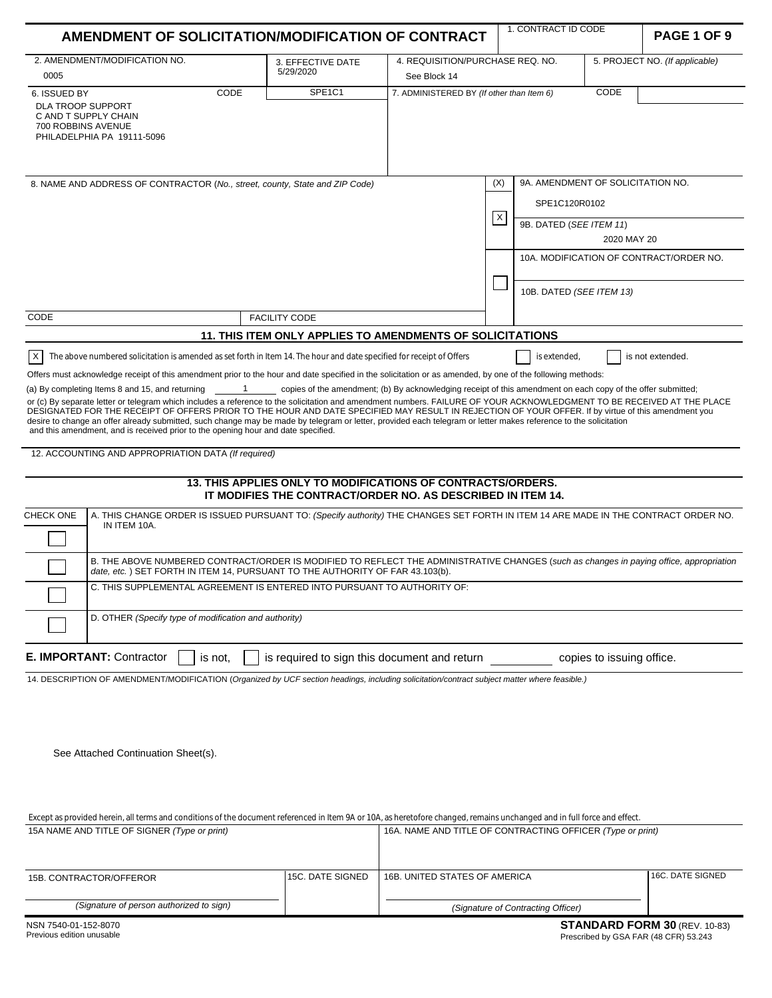| AMENDMENT OF SOLICITATION/MODIFICATION OF CONTRACT                                                                                                                                                                                                                                                                                                                                                                                                                                                                                                                                     |                                                                          | 1. CONTRACT ID CODE                                                                                                                 |                                           |                                                                    | PAGE 1 OF 9                       |                           |                                         |
|----------------------------------------------------------------------------------------------------------------------------------------------------------------------------------------------------------------------------------------------------------------------------------------------------------------------------------------------------------------------------------------------------------------------------------------------------------------------------------------------------------------------------------------------------------------------------------------|--------------------------------------------------------------------------|-------------------------------------------------------------------------------------------------------------------------------------|-------------------------------------------|--------------------------------------------------------------------|-----------------------------------|---------------------------|-----------------------------------------|
|                                                                                                                                                                                                                                                                                                                                                                                                                                                                                                                                                                                        |                                                                          |                                                                                                                                     |                                           |                                                                    |                                   |                           |                                         |
| 2. AMENDMENT/MODIFICATION NO.<br>0005                                                                                                                                                                                                                                                                                                                                                                                                                                                                                                                                                  |                                                                          | 3. EFFECTIVE DATE<br>5/29/2020                                                                                                      | See Block 14                              | 5. PROJECT NO. (If applicable)<br>4. REQUISITION/PURCHASE REQ. NO. |                                   |                           |                                         |
| 6. ISSUED BY                                                                                                                                                                                                                                                                                                                                                                                                                                                                                                                                                                           | CODE                                                                     | SPE1C1                                                                                                                              | 7. ADMINISTERED BY (If other than Item 6) |                                                                    |                                   | CODE                      |                                         |
| <b>DLA TROOP SUPPORT</b><br>C AND T SUPPLY CHAIN<br>700 ROBBINS AVENUE<br>PHILADELPHIA PA 19111-5096                                                                                                                                                                                                                                                                                                                                                                                                                                                                                   |                                                                          |                                                                                                                                     |                                           |                                                                    |                                   |                           |                                         |
| 8. NAME AND ADDRESS OF CONTRACTOR (No., street, county, State and ZIP Code)                                                                                                                                                                                                                                                                                                                                                                                                                                                                                                            |                                                                          |                                                                                                                                     |                                           | (X)                                                                | 9A. AMENDMENT OF SOLICITATION NO. |                           |                                         |
|                                                                                                                                                                                                                                                                                                                                                                                                                                                                                                                                                                                        |                                                                          |                                                                                                                                     |                                           | $\boldsymbol{\mathsf{X}}$                                          | SPE1C120R0102                     |                           |                                         |
|                                                                                                                                                                                                                                                                                                                                                                                                                                                                                                                                                                                        |                                                                          |                                                                                                                                     |                                           |                                                                    | 9B. DATED (SEE ITEM 11)           | 2020 MAY 20               |                                         |
|                                                                                                                                                                                                                                                                                                                                                                                                                                                                                                                                                                                        |                                                                          |                                                                                                                                     |                                           |                                                                    |                                   |                           | 10A. MODIFICATION OF CONTRACT/ORDER NO. |
|                                                                                                                                                                                                                                                                                                                                                                                                                                                                                                                                                                                        |                                                                          |                                                                                                                                     |                                           |                                                                    | 10B. DATED (SEE ITEM 13)          |                           |                                         |
| CODE                                                                                                                                                                                                                                                                                                                                                                                                                                                                                                                                                                                   |                                                                          | <b>FACILITY CODE</b>                                                                                                                |                                           |                                                                    |                                   |                           |                                         |
|                                                                                                                                                                                                                                                                                                                                                                                                                                                                                                                                                                                        |                                                                          | 11. THIS ITEM ONLY APPLIES TO AMENDMENTS OF SOLICITATIONS                                                                           |                                           |                                                                    |                                   |                           |                                         |
| ΙX<br>The above numbered solicitation is amended as set forth in Item 14. The hour and date specified for receipt of Offers                                                                                                                                                                                                                                                                                                                                                                                                                                                            |                                                                          |                                                                                                                                     |                                           |                                                                    | is extended,                      |                           | is not extended.                        |
| Offers must acknowledge receipt of this amendment prior to the hour and date specified in the solicitation or as amended, by one of the following methods:                                                                                                                                                                                                                                                                                                                                                                                                                             |                                                                          |                                                                                                                                     |                                           |                                                                    |                                   |                           |                                         |
| (a) By completing Items 8 and 15, and returning                                                                                                                                                                                                                                                                                                                                                                                                                                                                                                                                        | $\mathbf{1}$                                                             | copies of the amendment; (b) By acknowledging receipt of this amendment on each copy of the offer submitted;                        |                                           |                                                                    |                                   |                           |                                         |
| or (c) By separate letter or telegram which includes a reference to the solicitation and amendment numbers. FAILURE OF YOUR ACKNOWLEDGMENT TO BE RECEIVED AT THE PLACE<br>DESIGNATED FOR THE RECEIPT OF OFFERS PRIOR TO THE HOUR AND DATE SPECIFIED MAY RESULT IN REJECTION OF YOUR OFFER. If by virtue of this amendment you<br>desire to change an offer already submitted, such change may be made by telegram or letter, provided each telegram or letter makes reference to the solicitation<br>and this amendment, and is received prior to the opening hour and date specified. |                                                                          |                                                                                                                                     |                                           |                                                                    |                                   |                           |                                         |
| 12. ACCOUNTING AND APPROPRIATION DATA (If required)                                                                                                                                                                                                                                                                                                                                                                                                                                                                                                                                    |                                                                          |                                                                                                                                     |                                           |                                                                    |                                   |                           |                                         |
|                                                                                                                                                                                                                                                                                                                                                                                                                                                                                                                                                                                        |                                                                          | 13. THIS APPLIES ONLY TO MODIFICATIONS OF CONTRACTS/ORDERS.<br>IT MODIFIES THE CONTRACT/ORDER NO. AS DESCRIBED IN ITEM 14.          |                                           |                                                                    |                                   |                           |                                         |
| CHECK ONE<br>IN ITEM 10A.                                                                                                                                                                                                                                                                                                                                                                                                                                                                                                                                                              |                                                                          | A. THIS CHANGE ORDER IS ISSUED PURSUANT TO: (Specify authority) THE CHANGES SET FORTH IN ITEM 14 ARE MADE IN THE CONTRACT ORDER NO. |                                           |                                                                    |                                   |                           |                                         |
| B. THE ABOVE NUMBERED CONTRACT/ORDER IS MODIFIED TO REFLECT THE ADMINISTRATIVE CHANGES (such as changes in paying office, appropriation<br>date, etc.) SET FORTH IN ITEM 14, PURSUANT TO THE AUTHORITY OF FAR 43.103(b).                                                                                                                                                                                                                                                                                                                                                               |                                                                          |                                                                                                                                     |                                           |                                                                    |                                   |                           |                                         |
|                                                                                                                                                                                                                                                                                                                                                                                                                                                                                                                                                                                        | C. THIS SUPPLEMENTAL AGREEMENT IS ENTERED INTO PURSUANT TO AUTHORITY OF: |                                                                                                                                     |                                           |                                                                    |                                   |                           |                                         |
|                                                                                                                                                                                                                                                                                                                                                                                                                                                                                                                                                                                        | D. OTHER (Specify type of modification and authority)                    |                                                                                                                                     |                                           |                                                                    |                                   |                           |                                         |
| <b>E. IMPORTANT: Contractor</b>                                                                                                                                                                                                                                                                                                                                                                                                                                                                                                                                                        | is not,                                                                  | is required to sign this document and return                                                                                        |                                           |                                                                    |                                   | copies to issuing office. |                                         |
| 14. DESCRIPTION OF AMENDMENT/MODIFICATION (Organized by UCF section headings, including solicitation/contract subject matter where feasible.)                                                                                                                                                                                                                                                                                                                                                                                                                                          |                                                                          |                                                                                                                                     |                                           |                                                                    |                                   |                           |                                         |
| See Attached Continuation Sheet(s).                                                                                                                                                                                                                                                                                                                                                                                                                                                                                                                                                    |                                                                          |                                                                                                                                     |                                           |                                                                    |                                   |                           |                                         |

Except as provided herein, all terms and conditions of the document referenced in Item 9A or 10A, as heretofore changed, remains unchanged and in full force and effect. 15A NAME AND TITLE OF SIGNER (Type or print) 16A. NAME AND TITLE OF CONTRACTING OFFICER (Type or print)

| <b>IN INDUCTIVE OF SIGNER (Type of print)</b> |  | TOA. INAIVIL AIND TITLE OF CONTRACTING OFFICER (TYPE OF DITIIT) |                    |
|-----------------------------------------------|--|-----------------------------------------------------------------|--------------------|
| l 15C. DATE SIGNED<br>15B. CONTRACTOR/OFFEROR |  | 16B. UNITED STATES OF AMERICA                                   | l 16C. DATE SIGNED |
| (Signature of person authorized to sign)      |  | (Signature of Contracting Officer)                              |                    |
|                                               |  |                                                                 |                    |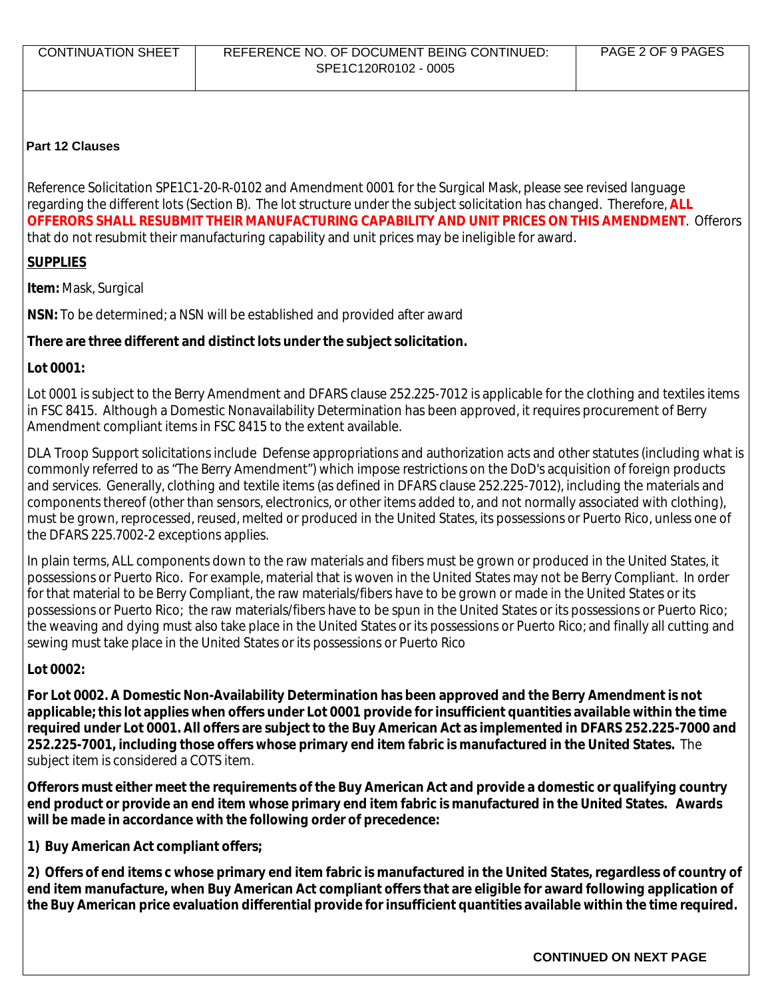| <b>CONTINUATION SHEET</b> | REFERENCE NO. OF DOCUMENT BEING CONTINUED: | PAGE 2 OF 9 PAGES |
|---------------------------|--------------------------------------------|-------------------|
|                           | SPE1C120R0102 - 0005                       |                   |
|                           |                                            |                   |

#### **Part 12 Clauses**

Reference Solicitation SPE1C1-20-R-0102 and Amendment 0001 for the Surgical Mask, please see revised language regarding the different lots (Section B). The lot structure under the subject solicitation has changed. Therefore, **ALL OFFERORS SHALL RESUBMIT THEIR MANUFACTURING CAPABILITY AND UNIT PRICES ON THIS AMENDMENT**. Offerors that do not resubmit their manufacturing capability and unit prices may be ineligible for award.

# **SUPPLIES**

**Item:** Mask, Surgical

**NSN:** To be determined; a NSN will be established and provided after award

# **There are three different and distinct lots under the subject solicitation.**

## **Lot 0001:**

Lot 0001 is subject to the Berry Amendment and DFARS clause 252.225-7012 is applicable for the clothing and textiles items in FSC 8415. Although a Domestic Nonavailability Determination has been approved, it requires procurement of Berry Amendment compliant items in FSC 8415 to the extent available.

DLA Troop Support solicitations include Defense appropriations and authorization acts and other statutes (including what is commonly referred to as "The Berry Amendment") which impose restrictions on the DoD's acquisition of foreign products and services. Generally, clothing and textile items (as defined in DFARS clause 252.225-7012), including the materials and components thereof (other than sensors, electronics, or other items added to, and not normally associated with clothing), must be grown, reprocessed, reused, melted or produced in the United States, its possessions or Puerto Rico, unless one of the DFARS 225.7002-2 exceptions applies.

In plain terms, ALL components down to the raw materials and fibers must be grown or produced in the United States, it possessions or Puerto Rico. For example, material that is woven in the United States may not be Berry Compliant. In order for that material to be Berry Compliant, the raw materials/fibers have to be grown or made in the United States or its possessions or Puerto Rico; the raw materials/fibers have to be spun in the United States or its possessions or Puerto Rico; the weaving and dying must also take place in the United States or its possessions or Puerto Rico; and finally all cutting and sewing must take place in the United States or its possessions or Puerto Rico

# **Lot 0002:**

**For Lot 0002. A Domestic Non-Availability Determination has been approved and the Berry Amendment is not applicable; this lot applies when offers under Lot 0001 provide for insufficient quantities available within the time required under Lot 0001. All offers are subject to the Buy American Act as implemented in DFARS 252.225-7000 and 252.225-7001, including those offers whose primary end item fabric is manufactured in the United States.** The subject item is considered a COTS item.

**Offerors must either meet the requirements of the Buy American Act and provide a domestic or qualifying country end product or provide an end item whose primary end item fabric is manufactured in the United States. Awards will be made in accordance with the following order of precedence:** 

**1) Buy American Act compliant offers;** 

**2) Offers of end items c whose primary end item fabric is manufactured in the United States, regardless of country of end item manufacture, when Buy American Act compliant offers that are eligible for award following application of the Buy American price evaluation differential provide for insufficient quantities available within the time required.**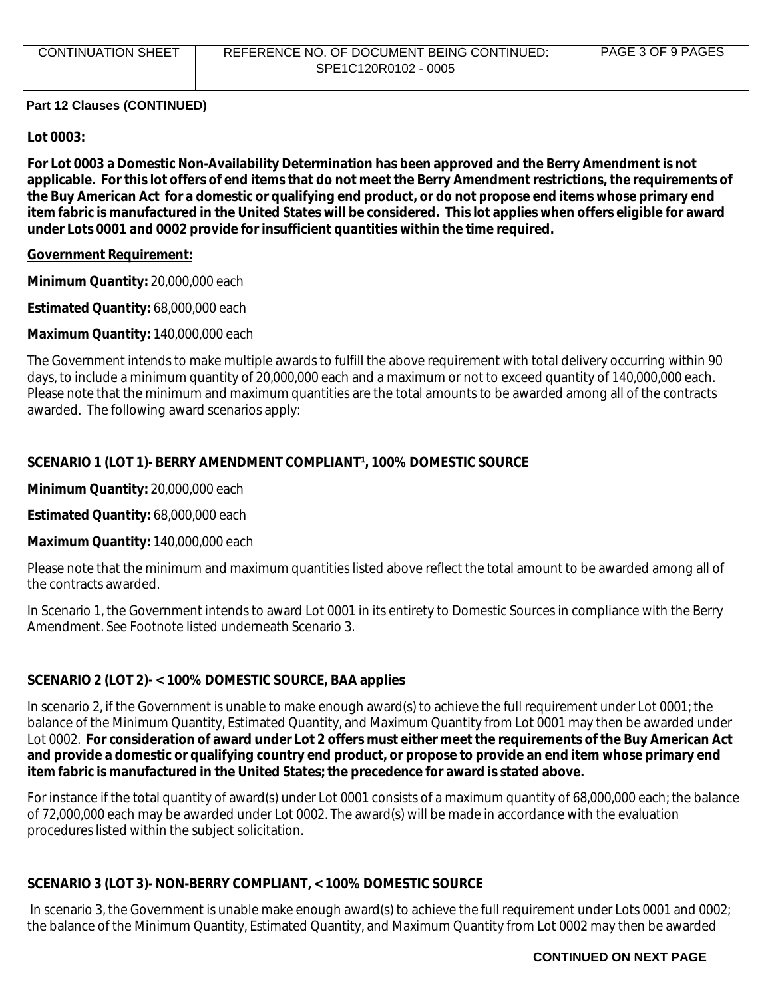# **Lot 0003:**

**For Lot 0003 a Domestic Non-Availability Determination has been approved and the Berry Amendment is not applicable. For this lot offers of end items that do not meet the Berry Amendment restrictions, the requirements of the Buy American Act for a domestic or qualifying end product, or do not propose end items whose primary end item fabric is manufactured in the United States will be considered. This lot applies when offers eligible for award under Lots 0001 and 0002 provide for insufficient quantities within the time required.** 

# **Government Requirement:**

**Minimum Quantity:** 20,000,000 each

**Estimated Quantity:** 68,000,000 each

**Maximum Quantity:** 140,000,000 each

The Government intends to make multiple awards to fulfill the above requirement with total delivery occurring within 90 days, to include a minimum quantity of 20,000,000 each and a maximum or not to exceed quantity of 140,000,000 each. Please note that the minimum and maximum quantities are the total amounts to be awarded among all of the contracts awarded. The following award scenarios apply:

# **SCENARIO 1 (LOT 1)- BERRY AMENDMENT COMPLIANT<sup>1</sup>, 100% DOMESTIC SOURCE**

**Minimum Quantity:** 20,000,000 each

**Estimated Quantity:** 68,000,000 each

# **Maximum Quantity:** 140,000,000 each

Please note that the minimum and maximum quantities listed above reflect the total amount to be awarded among all of the contracts awarded.

In Scenario 1, the Government intends to award Lot 0001 in its entirety to Domestic Sources in compliance with the Berry Amendment. See Footnote listed underneath Scenario 3.

# **SCENARIO 2 (LOT 2)- < 100% DOMESTIC SOURCE, BAA applies**

In scenario 2, if the Government is unable to make enough award(s) to achieve the full requirement under Lot 0001; the balance of the Minimum Quantity, Estimated Quantity, and Maximum Quantity from Lot 0001 may then be awarded under Lot 0002. **For consideration of award under Lot 2 offers must either meet the requirements of the Buy American Act and provide a domestic or qualifying country end product, or propose to provide an end item whose primary end item fabric is manufactured in the United States; the precedence for award is stated above.**

For instance if the total quantity of award(s) under Lot 0001 consists of a maximum quantity of 68,000,000 each; the balance of 72,000,000 each may be awarded under Lot 0002. The award(s) will be made in accordance with the evaluation procedures listed within the subject solicitation.

# **SCENARIO 3 (LOT 3)- NON-BERRY COMPLIANT, < 100% DOMESTIC SOURCE**

In scenario 3, the Government is unable make enough award(s) to achieve the full requirement under Lots 0001 and 0002; the balance of the Minimum Quantity, Estimated Quantity, and Maximum Quantity from Lot 0002 may then be awarded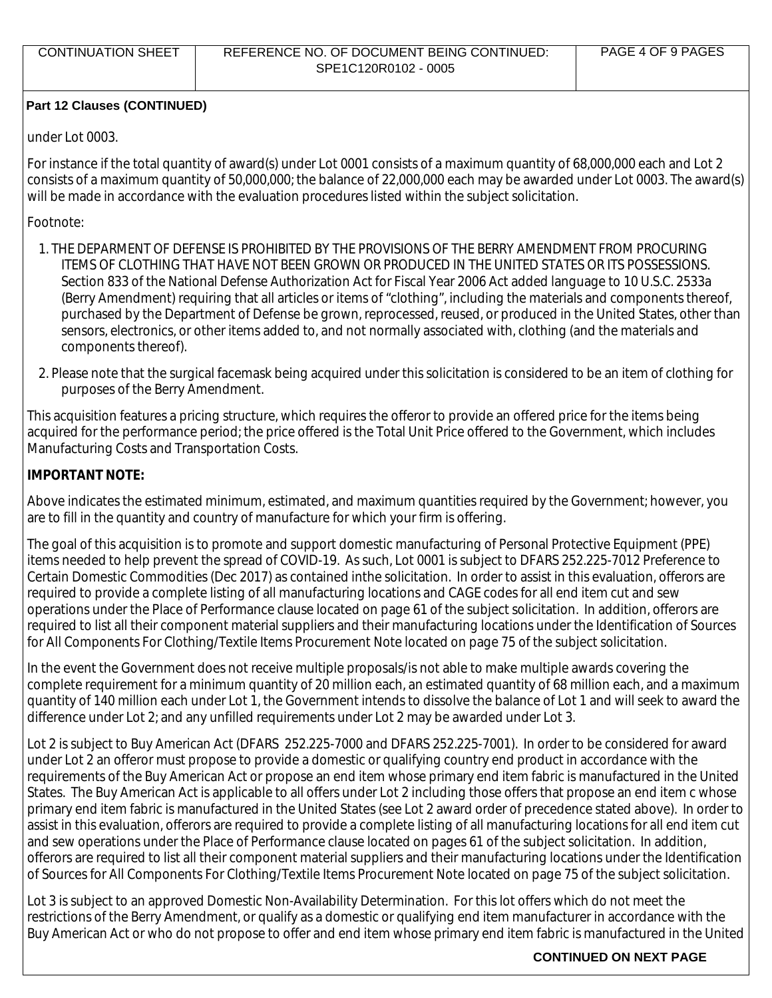## under Lot 0003.

For instance if the total quantity of award(s) under Lot 0001 consists of a maximum quantity of 68,000,000 each and Lot 2 consists of a maximum quantity of 50,000,000; the balance of 22,000,000 each may be awarded under Lot 0003. The award(s) will be made in accordance with the evaluation procedures listed within the subject solicitation.

Footnote:

- 1. THE DEPARMENT OF DEFENSE IS PROHIBITED BY THE PROVISIONS OF THE BERRY AMENDMENT FROM PROCURING ITEMS OF CLOTHING THAT HAVE NOT BEEN GROWN OR PRODUCED IN THE UNITED STATES OR ITS POSSESSIONS. Section 833 of the National Defense Authorization Act for Fiscal Year 2006 Act added language to 10 U.S.C. 2533a (Berry Amendment) requiring that all articles or items of "clothing", including the materials and components thereof, purchased by the Department of Defense be grown, reprocessed, reused, or produced in the United States, other than sensors, electronics, or other items added to, and not normally associated with, clothing (and the materials and components thereof).
- 2. Please note that the surgical facemask being acquired under this solicitation is considered to be an item of clothing for purposes of the Berry Amendment.

This acquisition features a pricing structure, which requires the offeror to provide an offered price for the items being acquired for the performance period; the price offered is the Total Unit Price offered to the Government, which includes Manufacturing Costs and Transportation Costs.

## **IMPORTANT NOTE:**

Above indicates the estimated minimum, estimated, and maximum quantities required by the Government; however, you are to fill in the quantity and country of manufacture for which your firm is offering.

The goal of this acquisition is to promote and support domestic manufacturing of Personal Protective Equipment (PPE) items needed to help prevent the spread of COVID-19. As such, Lot 0001 is subject to DFARS 252.225-7012 Preference to Certain Domestic Commodities (Dec 2017) as contained inthe solicitation. In order to assist in this evaluation, offerors are required to provide a complete listing of all manufacturing locations and CAGE codes for all end item cut and sew operations under the Place of Performance clause located on page 61 of the subject solicitation. In addition, offerors are required to list all their component material suppliers and their manufacturing locations under the Identification of Sources for All Components For Clothing/Textile Items Procurement Note located on page 75 of the subject solicitation.

In the event the Government does not receive multiple proposals/is not able to make multiple awards covering the complete requirement for a minimum quantity of 20 million each, an estimated quantity of 68 million each, and a maximum quantity of 140 million each under Lot 1, the Government intends to dissolve the balance of Lot 1 and will seek to award the difference under Lot 2; and any unfilled requirements under Lot 2 may be awarded under Lot 3.

Lot 2 is subject to Buy American Act (DFARS 252.225-7000 and DFARS 252.225-7001). In order to be considered for award under Lot 2 an offeror must propose to provide a domestic or qualifying country end product in accordance with the requirements of the Buy American Act or propose an end item whose primary end item fabric is manufactured in the United States. The Buy American Act is applicable to all offers under Lot 2 including those offers that propose an end item c whose primary end item fabric is manufactured in the United States (see Lot 2 award order of precedence stated above). In order to assist in this evaluation, offerors are required to provide a complete listing of all manufacturing locations for all end item cut and sew operations under the Place of Performance clause located on pages 61 of the subject solicitation. In addition, offerors are required to list all their component material suppliers and their manufacturing locations under the Identification of Sources for All Components For Clothing/Textile Items Procurement Note located on page 75 of the subject solicitation.

Lot 3 is subject to an approved Domestic Non-Availability Determination. For this lot offers which do not meet the restrictions of the Berry Amendment, or qualify as a domestic or qualifying end item manufacturer in accordance with the Buy American Act or who do not propose to offer and end item whose primary end item fabric is manufactured in the United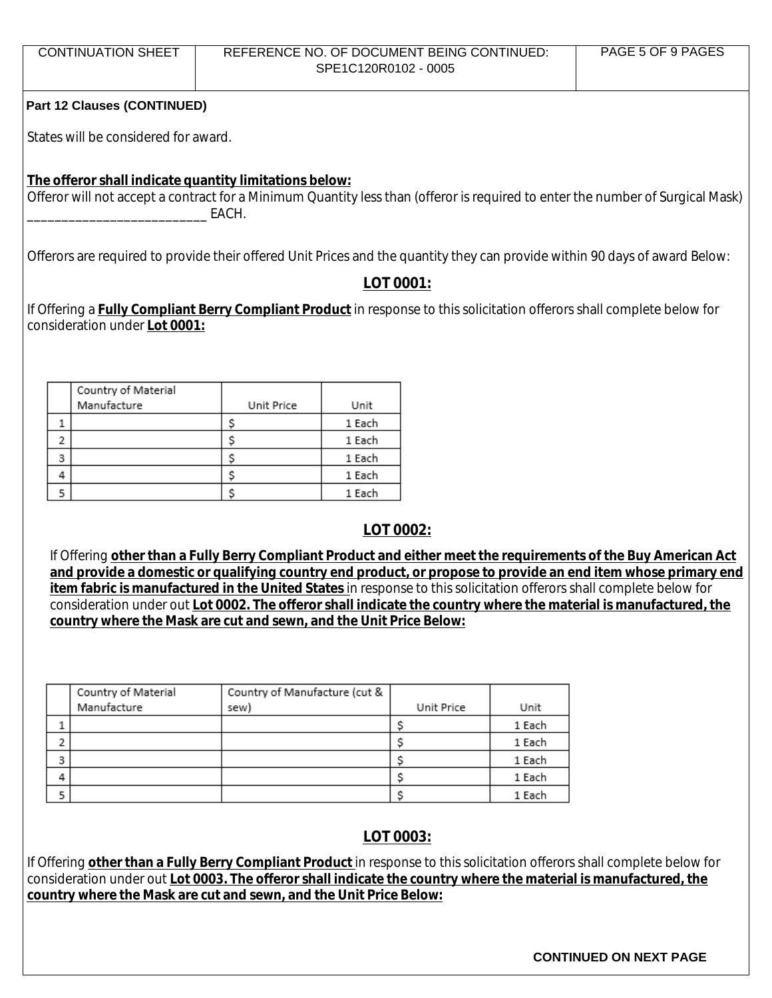|                                                                                                               | REFERENCE NO. OF DOCUMENT BEING CONTINUED:<br>SPE1C120R0102 - 0005                                                                                                                     |                  | PAGE 5 OF 9 PAGES |  |
|---------------------------------------------------------------------------------------------------------------|----------------------------------------------------------------------------------------------------------------------------------------------------------------------------------------|------------------|-------------------|--|
| <b>Part 12 Clauses (CONTINUED)</b>                                                                            |                                                                                                                                                                                        |                  |                   |  |
| States will be considered for award.                                                                          |                                                                                                                                                                                        |                  |                   |  |
|                                                                                                               | The offeror shall indicate quantity limitations below:                                                                                                                                 |                  |                   |  |
|                                                                                                               | Offeror will not accept a contract for a Minimum Quantity less than (offeror is required to enter the number of Surgical Mask)<br>EACH.                                                |                  |                   |  |
|                                                                                                               | Offerors are required to provide their offered Unit Prices and the quantity they can provide within 90 days of award Below:                                                            |                  |                   |  |
|                                                                                                               |                                                                                                                                                                                        | LOT 0001:        |                   |  |
|                                                                                                               | If Offering a <b>Fully Compliant Berry Compliant Product</b> in response to this solicitation offerors shall complete below for                                                        |                  |                   |  |
| consideration under Lot 0001:                                                                                 |                                                                                                                                                                                        |                  |                   |  |
|                                                                                                               |                                                                                                                                                                                        |                  |                   |  |
| Country of Material                                                                                           |                                                                                                                                                                                        |                  |                   |  |
| Manufacture                                                                                                   | Unit Price<br>Unit                                                                                                                                                                     |                  |                   |  |
| 1                                                                                                             | \$<br>1 Each                                                                                                                                                                           |                  |                   |  |
| 2                                                                                                             | \$<br>1 Each                                                                                                                                                                           |                  |                   |  |
| 3                                                                                                             | \$<br>1 Each                                                                                                                                                                           |                  |                   |  |
| 4                                                                                                             | \$<br>1 Each                                                                                                                                                                           |                  |                   |  |
| 5                                                                                                             | \$<br>1 Each                                                                                                                                                                           |                  |                   |  |
|                                                                                                               |                                                                                                                                                                                        | LOT 0002:        |                   |  |
|                                                                                                               |                                                                                                                                                                                        |                  |                   |  |
|                                                                                                               | If Offering other than a Fully Berry Compliant Product and either meet the requirements of the Buy American Act                                                                        |                  |                   |  |
|                                                                                                               |                                                                                                                                                                                        |                  |                   |  |
| and provide a domestic or qualifying country end product, or propose to provide an end item whose primary end |                                                                                                                                                                                        |                  |                   |  |
|                                                                                                               | item fabric is manufactured in the United States in response to this solicitation offerors shall complete below for                                                                    |                  |                   |  |
|                                                                                                               | consideration under out Lot 0002. The offeror shall indicate the country where the material is manufactured, the<br>country where the Mask are cut and sewn, and the Unit Price Below: |                  |                   |  |
|                                                                                                               |                                                                                                                                                                                        |                  |                   |  |
|                                                                                                               |                                                                                                                                                                                        |                  |                   |  |
|                                                                                                               |                                                                                                                                                                                        |                  |                   |  |
| Country of Material                                                                                           | Country of Manufacture (cut &                                                                                                                                                          |                  |                   |  |
| Manufacture                                                                                                   | sew)                                                                                                                                                                                   | Unit Price       | Unit              |  |
| 1                                                                                                             |                                                                                                                                                                                        | \$               | 1 Each            |  |
| 2                                                                                                             |                                                                                                                                                                                        | \$               | 1 Each            |  |
| 3                                                                                                             |                                                                                                                                                                                        | \$               | 1 Each            |  |
| 4                                                                                                             |                                                                                                                                                                                        | \$               | 1 Each            |  |
| 5                                                                                                             |                                                                                                                                                                                        | \$               | 1 Each            |  |
|                                                                                                               |                                                                                                                                                                                        |                  |                   |  |
|                                                                                                               |                                                                                                                                                                                        | <b>LOT 0003:</b> |                   |  |
|                                                                                                               | If Offering other than a Fully Berry Compliant Product in response to this solicitation offerors shall complete below for                                                              |                  |                   |  |
|                                                                                                               | consideration under out Lot 0003. The offeror shall indicate the country where the material is manufactured, the<br>country where the Mask are cut and sewn, and the Unit Price Below: |                  |                   |  |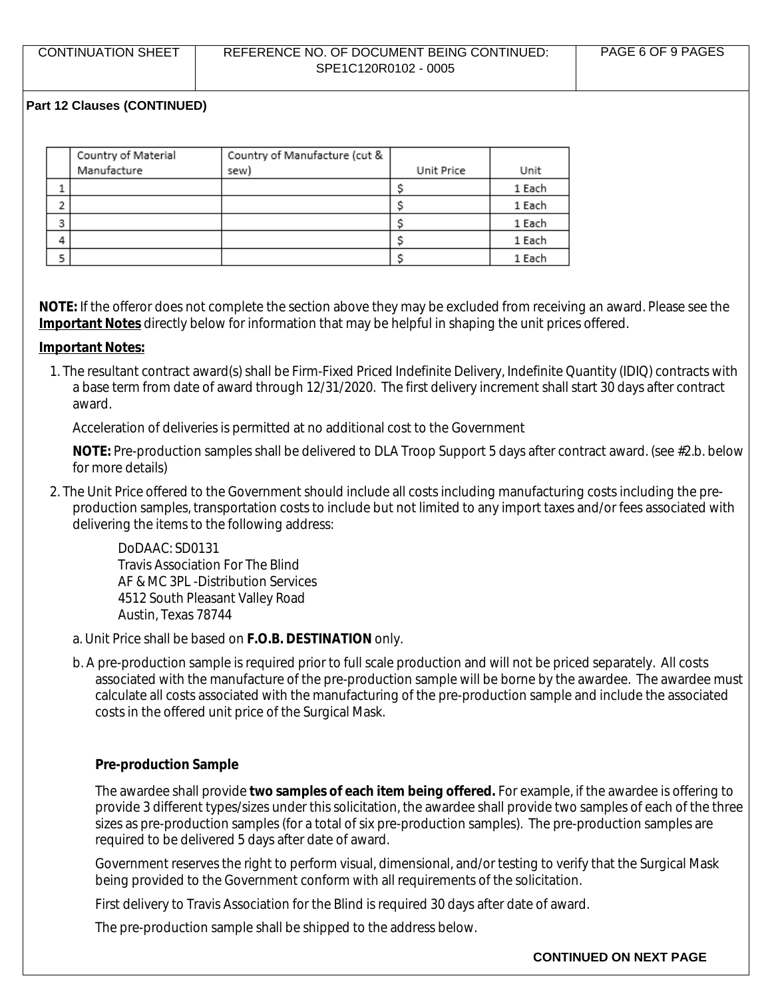|   | Country of Material | Country of Manufacture (cut & |            |        |
|---|---------------------|-------------------------------|------------|--------|
|   | Manufacture         | sew)                          | Unit Price | Unit   |
|   |                     |                               |            | 1 Each |
|   |                     |                               |            | 1 Each |
| 3 |                     |                               |            | 1 Each |
| 4 |                     |                               |            | 1 Each |
|   |                     |                               |            | 1 Each |

**NOTE:** If the offeror does not complete the section above they may be excluded from receiving an award. Please see the **Important Notes** directly below for information that may be helpful in shaping the unit prices offered.

#### **Important Notes:**

1. The resultant contract award(s) shall be Firm-Fixed Priced Indefinite Delivery, Indefinite Quantity (IDIQ) contracts with a base term from date of award through 12/31/2020. The first delivery increment shall start 30 days after contract award.

Acceleration of deliveries is permitted at no additional cost to the Government

**NOTE:** Pre-production samples shall be delivered to DLA Troop Support 5 days after contract award. (see #2.b. below for more details)

2. The Unit Price offered to the Government should include all costs including manufacturing costs including the preproduction samples, transportation costs to include but not limited to any import taxes and/or fees associated with delivering the items to the following address:

DoDAAC: SD0131 Travis Association For The Blind AF & MC 3PL -Distribution Services 4512 South Pleasant Valley Road Austin, Texas 78744

- a. Unit Price shall be based on **F.O.B. DESTINATION** only.
- b. A pre-production sample is required prior to full scale production and will not be priced separately. All costs associated with the manufacture of the pre-production sample will be borne by the awardee. The awardee must calculate all costs associated with the manufacturing of the pre-production sample and include the associated costs in the offered unit price of the Surgical Mask.

#### **Pre-production Sample**

The awardee shall provide **two samples of each item being offered.** For example, if the awardee is offering to provide 3 different types/sizes under this solicitation, the awardee shall provide two samples of each of the three sizes as pre-production samples (for a total of six pre-production samples). The pre-production samples are required to be delivered 5 days after date of award.

Government reserves the right to perform visual, dimensional, and/or testing to verify that the Surgical Mask being provided to the Government conform with all requirements of the solicitation.

First delivery to Travis Association for the Blind is required 30 days after date of award.

The pre-production sample shall be shipped to the address below.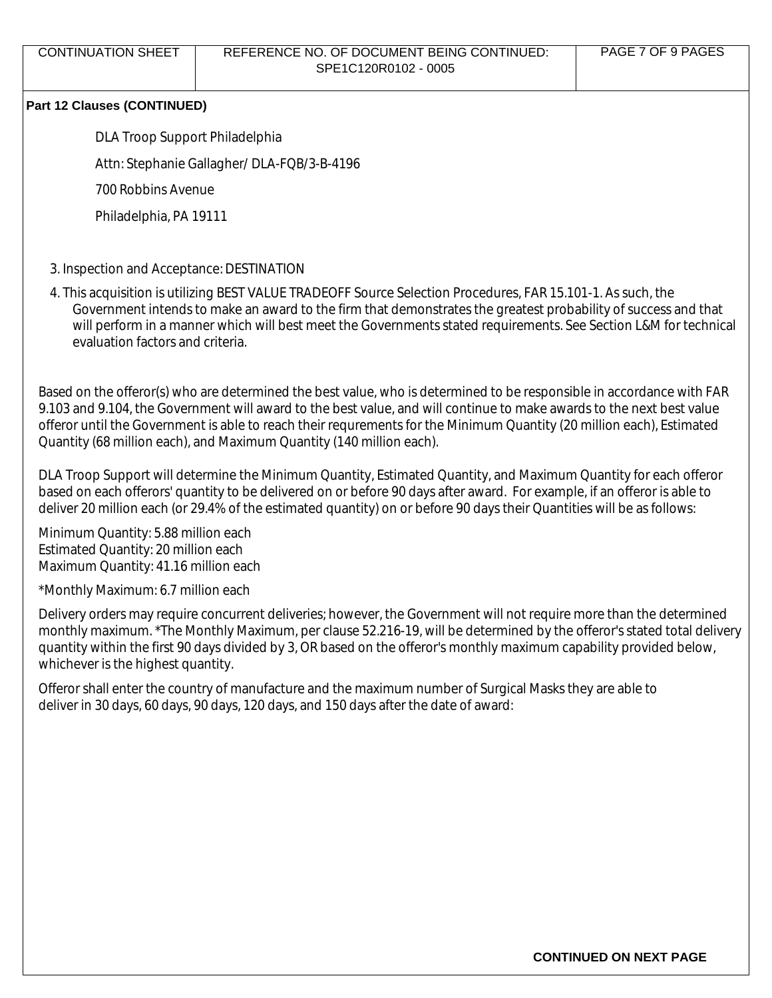DLA Troop Support Philadelphia

Attn: Stephanie Gallagher/ DLA-FQB/3-B-4196

700 Robbins Avenue

Philadelphia, PA 19111

## 3. Inspection and Acceptance: DESTINATION

4. This acquisition is utilizing BEST VALUE TRADEOFF Source Selection Procedures, FAR 15.101-1. As such, the Government intends to make an award to the firm that demonstrates the greatest probability of success and that will perform in a manner which will best meet the Governments stated requirements. See Section L&M for technical evaluation factors and criteria.

Based on the offeror(s) who are determined the best value, who is determined to be responsible in accordance with FAR 9.103 and 9.104, the Government will award to the best value, and will continue to make awards to the next best value offeror until the Government is able to reach their requrements for the Minimum Quantity (20 million each), Estimated Quantity (68 million each), and Maximum Quantity (140 million each).

DLA Troop Support will determine the Minimum Quantity, Estimated Quantity, and Maximum Quantity for each offeror based on each offerors' quantity to be delivered on or before 90 days after award. For example, if an offeror is able to deliver 20 million each (or 29.4% of the estimated quantity) on or before 90 days their Quantities will be as follows:

Minimum Quantity: 5.88 million each Estimated Quantity: 20 million each Maximum Quantity: 41.16 million each

\*Monthly Maximum: 6.7 million each

Delivery orders may require concurrent deliveries; however, the Government will not require more than the determined monthly maximum. \*The Monthly Maximum, per clause 52.216-19, will be determined by the offeror's stated total delivery quantity within the first 90 days divided by 3, OR based on the offeror's monthly maximum capability provided below, whichever is the highest quantity.

Offeror shall enter the country of manufacture and the maximum number of Surgical Masks they are able to deliver in 30 days, 60 days, 90 days, 120 days, and 150 days after the date of award: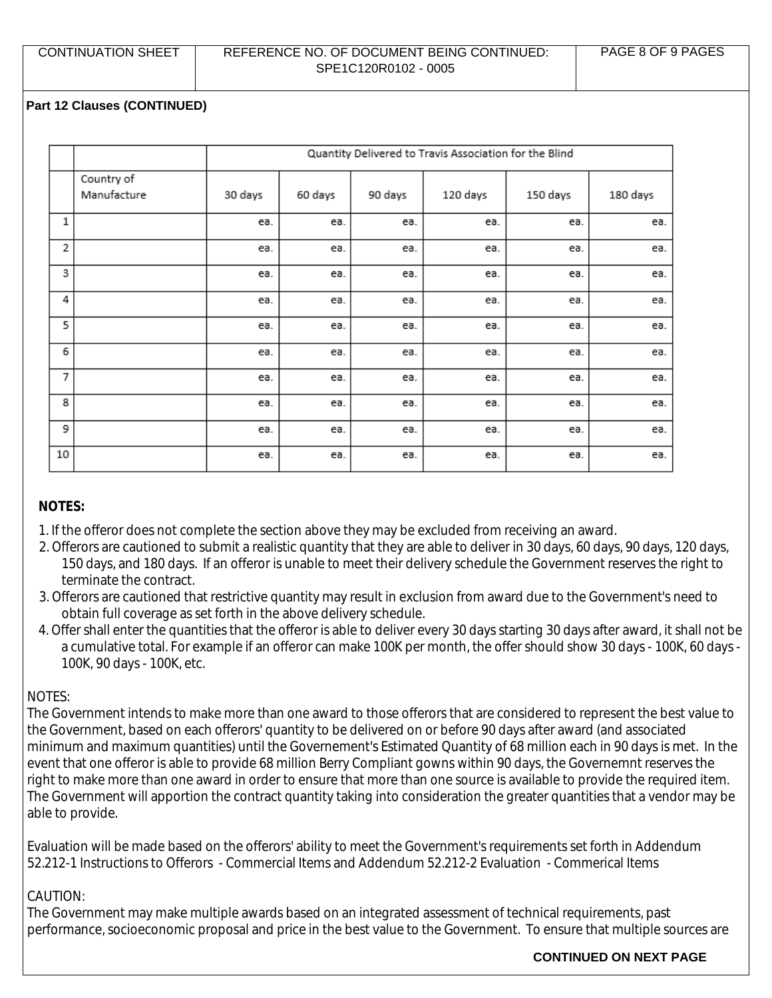|             |                           | Quantity Delivered to Travis Association for the Blind |         |         |          |          |          |
|-------------|---------------------------|--------------------------------------------------------|---------|---------|----------|----------|----------|
|             | Country of<br>Manufacture | 30 days                                                | 60 days | 90 days | 120 days | 150 days | 180 days |
| $\mathbf 1$ |                           | ea.                                                    | ea.     | ea.     | ea.      | ea.      | ea.      |
| 2           |                           | ea.                                                    | ea.     | ea.     | ea.      | ea.      | ea.      |
| 3           |                           | ea.                                                    | ea.     | ea.     | ea.      | ea.      | ea.      |
| 4           |                           | ea.                                                    | ea.     | ea.     | ea.      | ea.      | ea.      |
| 5           |                           | ea.                                                    | ea.     | ea.     | ea.      | ea.      | ea.      |
| 6           |                           | ea.                                                    | ea.     | ea.     | ea.      | ea.      | ea.      |
| 7           |                           | ea.                                                    | ea.     | ea.     | ea.      | ea.      | ea.      |
| 8           |                           | ea.                                                    | ea.     | ea.     | ea.      | ea.      | ea.      |
| 9           |                           | ea.                                                    | ea.     | ea.     | ea.      | ea.      | ea.      |
| 10          |                           | ea.                                                    | ea.     | ea.     | ea.      | ea.      | ea.      |

# **NOTES:**

- 1. If the offeror does not complete the section above they may be excluded from receiving an award.
- 2. Offerors are cautioned to submit a realistic quantity that they are able to deliver in 30 days, 60 days, 90 days, 120 days, 150 days, and 180 days. If an offeror is unable to meet their delivery schedule the Government reserves the right to terminate the contract.
- 3. Offerors are cautioned that restrictive quantity may result in exclusion from award due to the Government's need to obtain full coverage as set forth in the above delivery schedule.
- 4. Offer shall enter the quantities that the offeror is able to deliver every 30 days starting 30 days after award, it shall not be a cumulative total. For example if an offeror can make 100K per month, the offer should show 30 days - 100K, 60 days - 100K, 90 days - 100K, etc.

# NOTES:

The Government intends to make more than one award to those offerors that are considered to represent the best value to the Government, based on each offerors' quantity to be delivered on or before 90 days after award (and associated minimum and maximum quantities) until the Governement's Estimated Quantity of 68 million each in 90 days is met. In the event that one offeror is able to provide 68 million Berry Compliant gowns within 90 days, the Governemnt reserves the right to make more than one award in order to ensure that more than one source is available to provide the required item. The Government will apportion the contract quantity taking into consideration the greater quantities that a vendor may be able to provide.

Evaluation will be made based on the offerors' ability to meet the Government's requirements set forth in Addendum 52.212-1 Instructions to Offerors - Commercial Items and Addendum 52.212-2 Evaluation - Commerical Items

# CAUTION:

The Government may make multiple awards based on an integrated assessment of technical requirements, past performance, socioeconomic proposal and price in the best value to the Government. To ensure that multiple sources are